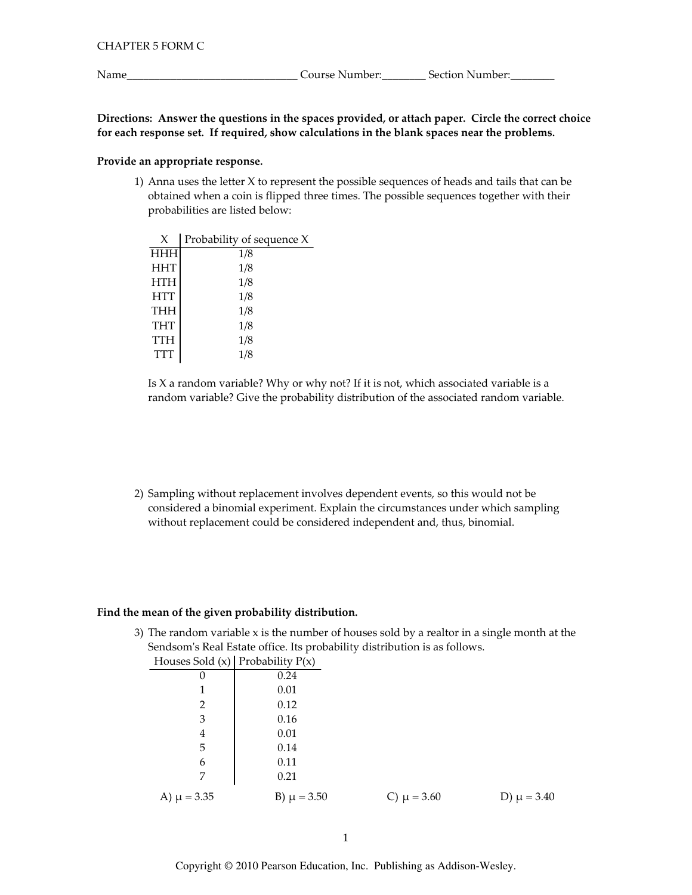Name\_

Directions: Answer the questions in the spaces provided, or attach paper. Circle the correct choice for each response set. If required, show calculations in the blank spaces near the problems.

# Provide an appropriate response.

1) Anna uses the letter X to represent the possible sequences of heads and tails that can be obtained when a coin is flipped three times. The possible sequences together with their probabilities are listed below:

| X          | Probability of sequence X |
|------------|---------------------------|
| HHH        | 1/8                       |
| <b>HHT</b> | 1/8                       |
| <b>HTH</b> | 1/8                       |
| <b>HTT</b> | 1/8                       |
| <b>THH</b> | 1/8                       |
| <b>THT</b> | 1/8                       |
| <b>TTH</b> | 1/8                       |
| TTT        | 1/8                       |
|            |                           |

Is X a random variable? Why or why not? If it is not, which associated variable is a random variable? Give the probability distribution of the associated random variable.

2) Sampling without replacement involves dependent events, so this would not be considered a binomial experiment. Explain the circumstances under which sampling without replacement could be considered independent and, thus, binomial.

### Find the mean of the given probability distribution.

3) The random variable x is the number of houses sold by a realtor in a single month at the Sendsom's Real Estate office. Its probability distribution is as follows.  $0.11$   $(10.10 - 1.11)$  $T$ 

|                 | Houses Sold $(x)$ Probability $P(x)$ |                 |                 |
|-----------------|--------------------------------------|-----------------|-----------------|
| 0               | 0.24                                 |                 |                 |
| 1               | 0.01                                 |                 |                 |
| $\overline{2}$  | 0.12                                 |                 |                 |
| 3               | 0.16                                 |                 |                 |
| 4               | 0.01                                 |                 |                 |
| 5               | 0.14                                 |                 |                 |
| 6               | 0.11                                 |                 |                 |
| 7               | 0.21                                 |                 |                 |
| A) $\mu = 3.35$ | B) $\mu = 3.50$                      | C) $\mu = 3.60$ | D) $\mu = 3.40$ |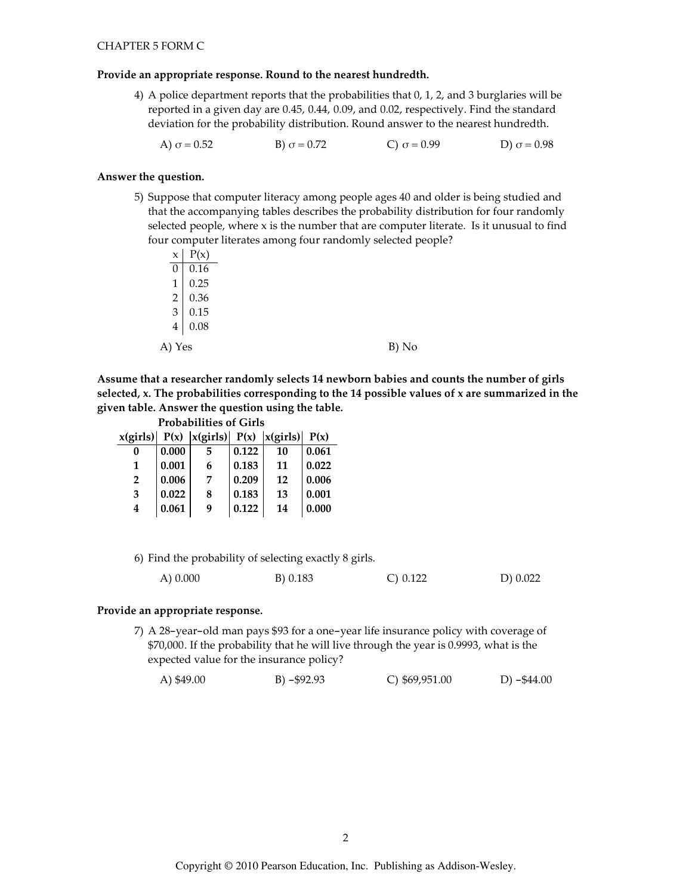### Provide an appropriate response. Round to the nearest hundredth.

- 4) A police department reports that the probabilities that 0, 1, 2, and 3 burglaries will be reported in a given day are 0.45, 0.44, 0.09, and 0.02, respectively. Find the standard deviation for the probability distribution. Round answer to the nearest hundredth.
	- A)  $\sigma = 0.52$ B)  $\sigma = 0.72$ C)  $\sigma = 0.99$ D)  $\sigma = 0.98$

# Answer the question.

5) Suppose that computer literacy among people ages 40 and older is being studied and that the accompanying tables describes the probability distribution for four randomly selected people, where x is the number that are computer literate. Is it unusual to find four computer literates among four randomly selected people?

| x                           | P(x) |  |       |
|-----------------------------|------|--|-------|
| 0                           | 0.16 |  |       |
| 1                           | 0.25 |  |       |
| 2                           | 0.36 |  |       |
| $\ensuremath{\mathfrak{Z}}$ | 0.15 |  |       |
| $\overline{4}$              | 0.08 |  |       |
| A) Yes                      |      |  | B) No |
|                             |      |  |       |

Assume that a researcher randomly selects 14 newborn babies and counts the number of girls selected, x. The probabilities corresponding to the 14 possible values of x are summarized in the given table. Answer the question using the table.

|                |       | <b>Probabilities of Girls</b>                           |       |    |       |
|----------------|-------|---------------------------------------------------------|-------|----|-------|
|                |       | $x(girls)$ $P(x)$ $ x(girls)$ $P(x)$ $ x(girls)$ $P(x)$ |       |    |       |
| 0              | 0.000 | 5                                                       | 0.122 | 10 | 0.061 |
| 1              | 0.001 | 6                                                       | 0.183 | 11 | 0.022 |
| $\overline{2}$ | 0.006 | 7                                                       | 0.209 | 12 | 0.006 |
| 3              | 0.022 | 8                                                       | 0.183 | 13 | 0.001 |
| 4              | 0.061 | g                                                       | 0.122 | 14 | 0.000 |

| 6) Find the probability of selecting exactly 8 girls. |          |             |          |
|-------------------------------------------------------|----------|-------------|----------|
| $(A)$ 0.000                                           | B) 0.183 | $C$ ) 0.122 | D) 0.022 |

### Provide an appropriate response.

7) A 28-year-old man pays \$93 for a one-year life insurance policy with coverage of \$70,000. If the probability that he will live through the year is 0.9993, what is the expected value for the insurance policy?

A) \$49.00  $B) - $92.93$  $C$ ) \$69,951.00 D)  $-$ \$44.00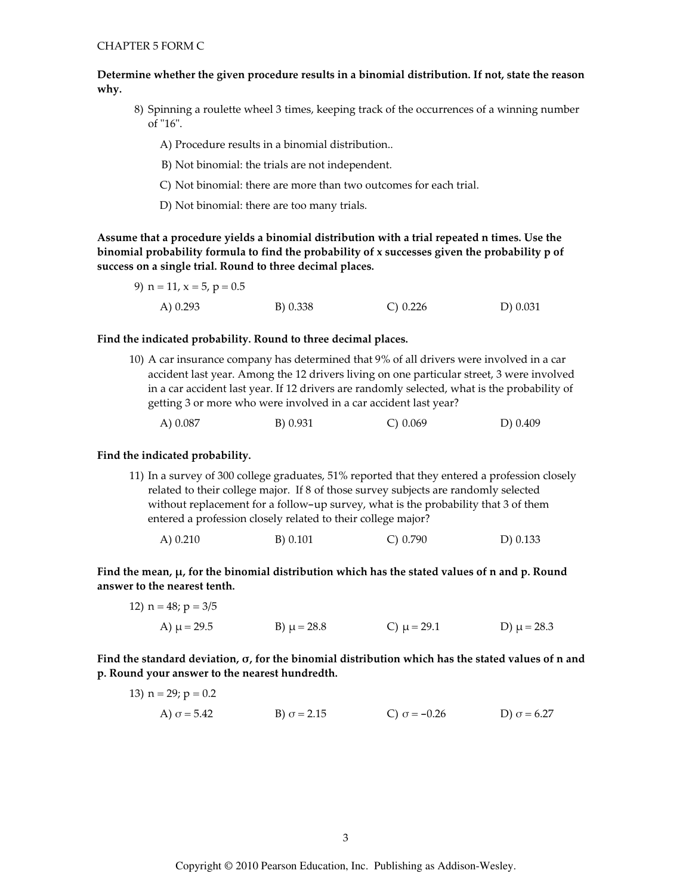Determine whether the given procedure results in a binomial distribution. If not, state the reason why.

8) Spinning a roulette wheel 3 times, keeping track of the occurrences of a winning number of "16".

A) Procedure results in a binomial distribution...

- B) Not binomial: the trials are not independent.
- C) Not binomial: there are more than two outcomes for each trial.
- D) Not binomial: there are too many trials.

Assume that a procedure yields a binomial distribution with a trial repeated n times. Use the binomial probability formula to find the probability of x successes given the probability p of success on a single trial. Round to three decimal places.

| 9) $n = 11$ , $x = 5$ , $p = 0.5$ |          |            |          |
|-----------------------------------|----------|------------|----------|
| A) $0.293$                        | B) 0.338 | C) $0.226$ | D) 0.031 |

#### Find the indicated probability. Round to three decimal places.

10) A car insurance company has determined that 9% of all drivers were involved in a car accident last year. Among the 12 drivers living on one particular street, 3 were involved in a car accident last year. If 12 drivers are randomly selected, what is the probability of getting 3 or more who were involved in a car accident last year?

|  | A) 0.087 | B) 0.931 | C) 0.069 | D) 0.409 |
|--|----------|----------|----------|----------|
|--|----------|----------|----------|----------|

#### Find the indicated probability.

11) In a survey of 300 college graduates, 51% reported that they entered a profession closely related to their college major. If 8 of those survey subjects are randomly selected without replacement for a follow-up survey, what is the probability that 3 of them entered a profession closely related to their college major?

|  | A) $0.210$ | B) 0.101 | $C$ ) 0.790 | D) 0.133 |
|--|------------|----------|-------------|----------|
|--|------------|----------|-------------|----------|

Find the mean,  $\mu$ , for the binomial distribution which has the stated values of n and p. Round answer to the nearest tenth.

12) n = 48; p = 3/5  
A) 
$$
\mu
$$
 = 29.5  
B)  $\mu$  = 28.8  
C)  $\mu$  = 29.1  
D)  $\mu$  = 28.3

Find the standard deviation,  $\sigma$ , for the binomial distribution which has the stated values of n and p. Round your answer to the nearest hundredth.

13) 
$$
n = 29
$$
;  $p = 0.2$   
\nA)  $\sigma = 5.42$   
\nB)  $\sigma = 2.15$   
\nC)  $\sigma = -0.26$   
\nD)  $\sigma = 6.27$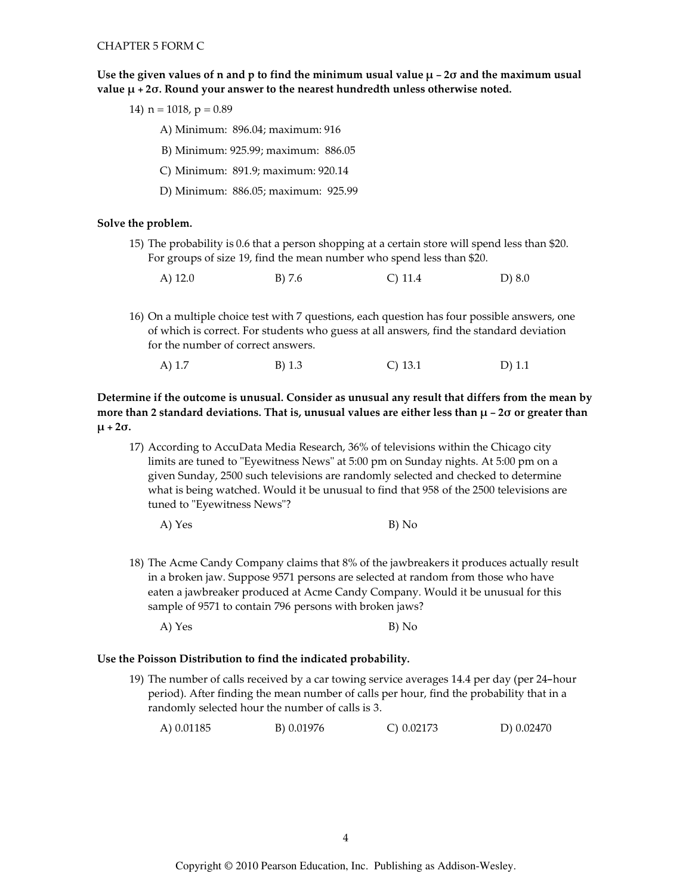Use the given values of n and p to find the minimum usual value  $\mu$  – 20 and the maximum usual value  $\mu$  + 2 $\sigma$ . Round your answer to the nearest hundredth unless otherwise noted.

14)  $n = 1018$ ,  $p = 0.89$ 

A) Minimum: 896.04; maximum: 916

B) Minimum: 925.99; maximum: 886.05

C) Minimum: 891.9; maximum: 920.14

D) Minimum: 886.05; maximum: 925.99

### Solve the problem.

15) The probability is 0.6 that a person shopping at a certain store will spend less than \$20. For groups of size 19, find the mean number who spend less than \$20.

| A) $12.0$ | $B)$ 7.6 | $C)$ 11.4 | $D)$ 8.0 |
|-----------|----------|-----------|----------|
|           |          |           |          |

16) On a multiple choice test with 7 questions, each question has four possible answers, one of which is correct. For students who guess at all answers, find the standard deviation for the number of correct answers.

| A) $1.7$ |  | B) 1.3 | $C)$ 13.1 | D $(1.1)$ |
|----------|--|--------|-----------|-----------|
|----------|--|--------|-----------|-----------|

Determine if the outcome is unusual. Consider as unusual any result that differs from the mean by more than 2 standard deviations. That is, unusual values are either less than  $\mu$  – 20 or greater than  $\mu$  + 2 $\sigma$ .

17) According to AccuData Media Research, 36% of televisions within the Chicago city limits are tuned to "Eyewitness News" at 5:00 pm on Sunday nights. At 5:00 pm on a given Sunday, 2500 such televisions are randomly selected and checked to determine what is being watched. Would it be unusual to find that 958 of the 2500 televisions are tuned to "Eyewitness News"?

18) The Acme Candy Company claims that 8% of the jawbreakers it produces actually result in a broken jaw. Suppose 9571 persons are selected at random from those who have eaten a jawbreaker produced at Acme Candy Company. Would it be unusual for this sample of 9571 to contain 796 persons with broken jaws?

A) Yes B) No

### Use the Poisson Distribution to find the indicated probability.

19) The number of calls received by a car towing service averages 14.4 per day (per 24-hour period). After finding the mean number of calls per hour, find the probability that in a randomly selected hour the number of calls is 3.

| A) 0.01185 | B) 0.01976 | $C$ ) 0.02173 | D) 0.02470 |
|------------|------------|---------------|------------|
|            |            |               |            |

A) Yes  $B) No$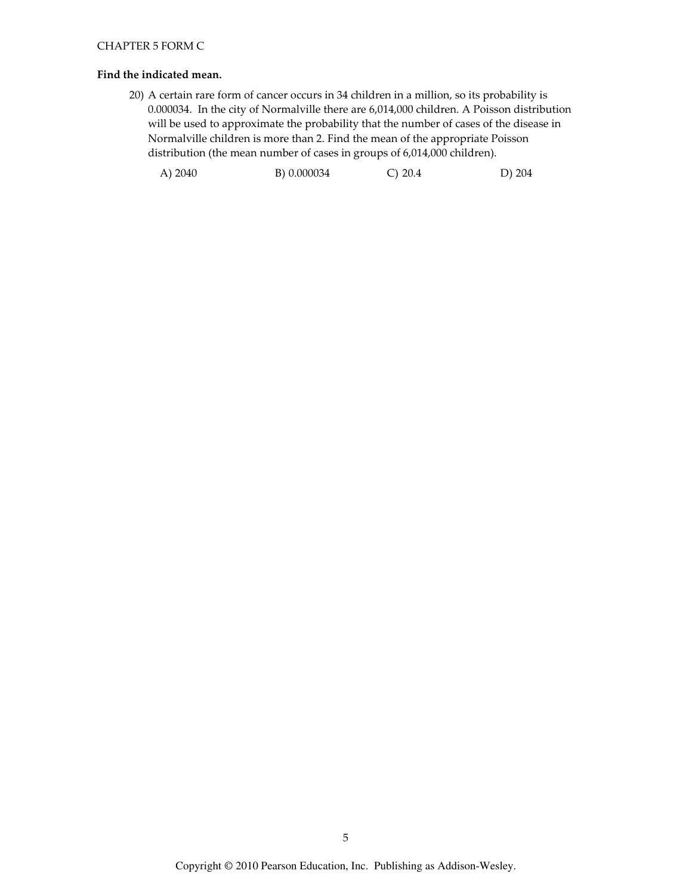# Find the indicated mean.

20) A certain rare form of cancer occurs in 34 children in a million, so its probability is 0.000034. In the city of Normalville there are 6,014,000 children. A Poisson distribution will be used to approximate the probability that the number of cases of the disease in Normalville children is more than 2. Find the mean of the appropriate Poisson distribution (the mean number of cases in groups of 6,014,000 children).

| A) 2040 | B) 0.000034 | C) 20.4 | D) 204 |
|---------|-------------|---------|--------|
|---------|-------------|---------|--------|